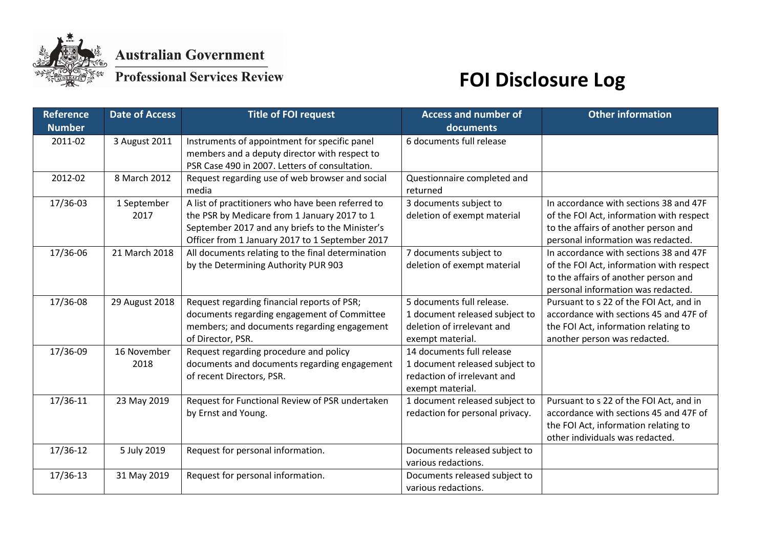

**Australian Government** 

### **Professional Services Review**

# **FOI Disclosure Log**

| <b>Reference</b> | <b>Date of Access</b> | <b>Title of FOI request</b>                       | <b>Access and number of</b>     | <b>Other information</b>                 |
|------------------|-----------------------|---------------------------------------------------|---------------------------------|------------------------------------------|
| <b>Number</b>    |                       |                                                   | documents                       |                                          |
| 2011-02          | 3 August 2011         | Instruments of appointment for specific panel     | 6 documents full release        |                                          |
|                  |                       | members and a deputy director with respect to     |                                 |                                          |
|                  |                       | PSR Case 490 in 2007. Letters of consultation.    |                                 |                                          |
| 2012-02          | 8 March 2012          | Request regarding use of web browser and social   | Questionnaire completed and     |                                          |
|                  |                       | media                                             | returned                        |                                          |
| 17/36-03         | 1 September           | A list of practitioners who have been referred to | 3 documents subject to          | In accordance with sections 38 and 47F   |
|                  | 2017                  | the PSR by Medicare from 1 January 2017 to 1      | deletion of exempt material     | of the FOI Act, information with respect |
|                  |                       | September 2017 and any briefs to the Minister's   |                                 | to the affairs of another person and     |
|                  |                       | Officer from 1 January 2017 to 1 September 2017   |                                 | personal information was redacted.       |
| 17/36-06         | 21 March 2018         | All documents relating to the final determination | 7 documents subject to          | In accordance with sections 38 and 47F   |
|                  |                       | by the Determining Authority PUR 903              | deletion of exempt material     | of the FOI Act, information with respect |
|                  |                       |                                                   |                                 | to the affairs of another person and     |
|                  |                       |                                                   |                                 | personal information was redacted.       |
| 17/36-08         | 29 August 2018        | Request regarding financial reports of PSR;       | 5 documents full release.       | Pursuant to s 22 of the FOI Act, and in  |
|                  |                       | documents regarding engagement of Committee       | 1 document released subject to  | accordance with sections 45 and 47F of   |
|                  |                       | members; and documents regarding engagement       | deletion of irrelevant and      | the FOI Act, information relating to     |
|                  |                       | of Director, PSR.                                 | exempt material.                | another person was redacted.             |
| 17/36-09         | 16 November           | Request regarding procedure and policy            | 14 documents full release       |                                          |
|                  | 2018                  | documents and documents regarding engagement      | 1 document released subject to  |                                          |
|                  |                       | of recent Directors, PSR.                         | redaction of irrelevant and     |                                          |
|                  |                       |                                                   | exempt material.                |                                          |
| 17/36-11         | 23 May 2019           | Request for Functional Review of PSR undertaken   | 1 document released subject to  | Pursuant to s 22 of the FOI Act, and in  |
|                  |                       | by Ernst and Young.                               | redaction for personal privacy. | accordance with sections 45 and 47F of   |
|                  |                       |                                                   |                                 | the FOI Act, information relating to     |
|                  |                       |                                                   |                                 | other individuals was redacted.          |
| 17/36-12         | 5 July 2019           | Request for personal information.                 | Documents released subject to   |                                          |
|                  |                       |                                                   | various redactions.             |                                          |
| 17/36-13         | 31 May 2019           | Request for personal information.                 | Documents released subject to   |                                          |
|                  |                       |                                                   | various redactions.             |                                          |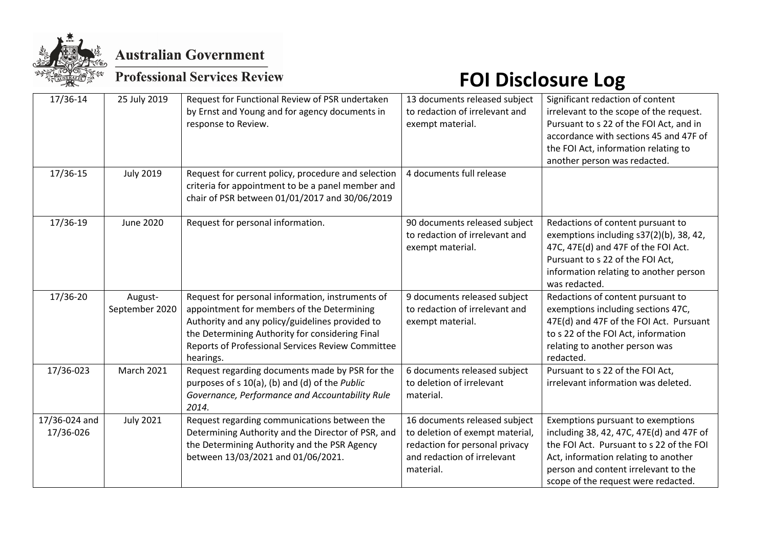

**Australian Government** 

### **Professional Services Review**

# **FOI Disclosure Log**

| 17/36-14                   | 25 July 2019     | Request for Functional Review of PSR undertaken<br>by Ernst and Young and for agency documents in<br>response to Review.                                                                                           | 13 documents released subject<br>to redaction of irrelevant and<br>exempt material.                                                            | Significant redaction of content<br>irrelevant to the scope of the request.<br>Pursuant to s 22 of the FOI Act, and in<br>accordance with sections 45 and 47F of<br>the FOI Act, information relating to<br>another person was redacted.         |
|----------------------------|------------------|--------------------------------------------------------------------------------------------------------------------------------------------------------------------------------------------------------------------|------------------------------------------------------------------------------------------------------------------------------------------------|--------------------------------------------------------------------------------------------------------------------------------------------------------------------------------------------------------------------------------------------------|
| 17/36-15                   | <b>July 2019</b> | Request for current policy, procedure and selection<br>criteria for appointment to be a panel member and<br>chair of PSR between 01/01/2017 and 30/06/2019                                                         | 4 documents full release                                                                                                                       |                                                                                                                                                                                                                                                  |
| 17/36-19                   | <b>June 2020</b> | Request for personal information.                                                                                                                                                                                  | 90 documents released subject<br>to redaction of irrelevant and<br>exempt material.                                                            | Redactions of content pursuant to<br>exemptions including s37(2)(b), 38, 42,<br>47C, 47E(d) and 47F of the FOI Act.<br>Pursuant to s 22 of the FOI Act,<br>information relating to another person<br>was redacted.                               |
| 17/36-20                   | August-          | Request for personal information, instruments of                                                                                                                                                                   | 9 documents released subject                                                                                                                   | Redactions of content pursuant to                                                                                                                                                                                                                |
|                            | September 2020   | appointment for members of the Determining<br>Authority and any policy/guidelines provided to<br>the Determining Authority for considering Final<br>Reports of Professional Services Review Committee<br>hearings. | to redaction of irrelevant and<br>exempt material.                                                                                             | exemptions including sections 47C,<br>47E(d) and 47F of the FOI Act. Pursuant<br>to s 22 of the FOI Act, information<br>relating to another person was<br>redacted.                                                                              |
| 17/36-023                  | March 2021       | Request regarding documents made by PSR for the<br>purposes of s 10(a), (b) and (d) of the Public<br>Governance, Performance and Accountability Rule<br>2014.                                                      | 6 documents released subject<br>to deletion of irrelevant<br>material.                                                                         | Pursuant to s 22 of the FOI Act,<br>irrelevant information was deleted.                                                                                                                                                                          |
| 17/36-024 and<br>17/36-026 | <b>July 2021</b> | Request regarding communications between the<br>Determining Authority and the Director of PSR, and<br>the Determining Authority and the PSR Agency<br>between 13/03/2021 and 01/06/2021.                           | 16 documents released subject<br>to deletion of exempt material,<br>redaction for personal privacy<br>and redaction of irrelevant<br>material. | Exemptions pursuant to exemptions<br>including 38, 42, 47C, 47E(d) and 47F of<br>the FOI Act. Pursuant to s 22 of the FOI<br>Act, information relating to another<br>person and content irrelevant to the<br>scope of the request were redacted. |